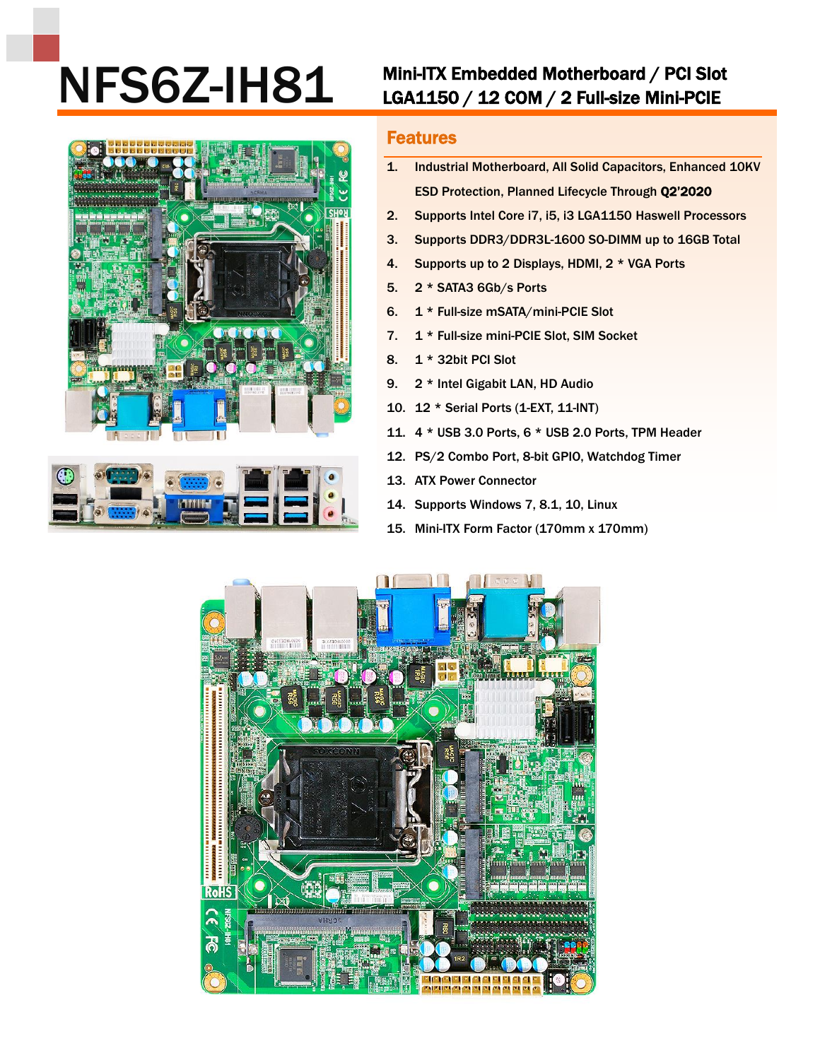## NFS6Z-IH81 Mini-ITX Embedded Motherboard / PCI Slot<br>LGA1150 / 12 COM / 2 Full-size Mini-PCIE





## Features

- 1. Industrial Motherboard, All Solid Capacitors, Enhanced 10KV ESD Protection, Planned Lifecycle Through Q2'2020
- 2. Supports Intel Core i7, i5, i3 LGA1150 Haswell Processors
- 3. Supports DDR3/DDR3L-1600 SO-DIMM up to 16GB Total
- 4. Supports up to 2 Displays, HDMI, 2 \* VGA Ports
- 5. 2 \* SATA3 6Gb/s Ports
- 6. 1 \* Full-size mSATA/mini-PCIE Slot
- 7. 1 \* Full-size mini-PCIE Slot, SIM Socket
- 8. 1 \* 32bit PCI Slot
- 9. 2 \* Intel Gigabit LAN, HD Audio
- 10. 12 \* Serial Ports (1-EXT, 11-INT)
- 11. 4 \* USB 3.0 Ports, 6 \* USB 2.0 Ports, TPM Header
- 12. PS/2 Combo Port, 8-bit GPIO, Watchdog Timer
- 13. ATX Power Connector
- 14. Supports Windows 7, 8.1, 10, Linux
- 15. Mini-ITX Form Factor (170mm x 170mm)